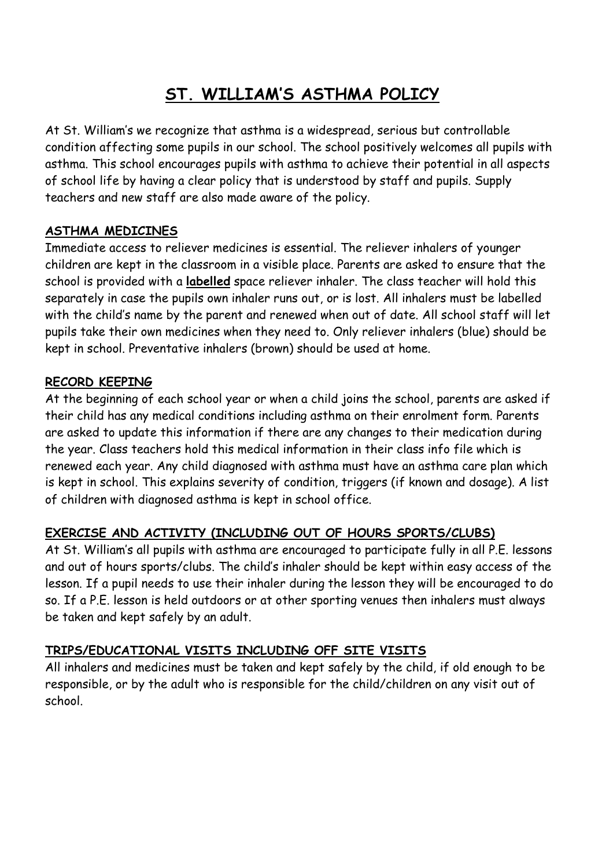# **ST. WILLIAM'S ASTHMA POLICY**

At St. William's we recognize that asthma is a widespread, serious but controllable condition affecting some pupils in our school. The school positively welcomes all pupils with asthma. This school encourages pupils with asthma to achieve their potential in all aspects of school life by having a clear policy that is understood by staff and pupils. Supply teachers and new staff are also made aware of the policy.

# **ASTHMA MEDICINES**

Immediate access to reliever medicines is essential. The reliever inhalers of younger children are kept in the classroom in a visible place. Parents are asked to ensure that the school is provided with a **labelled** space reliever inhaler. The class teacher will hold this separately in case the pupils own inhaler runs out, or is lost. All inhalers must be labelled with the child's name by the parent and renewed when out of date. All school staff will let pupils take their own medicines when they need to. Only reliever inhalers (blue) should be kept in school. Preventative inhalers (brown) should be used at home.

# **RECORD KEEPING**

At the beginning of each school year or when a child joins the school, parents are asked if their child has any medical conditions including asthma on their enrolment form. Parents are asked to update this information if there are any changes to their medication during the year. Class teachers hold this medical information in their class info file which is renewed each year. Any child diagnosed with asthma must have an asthma care plan which is kept in school. This explains severity of condition, triggers (if known and dosage). A list of children with diagnosed asthma is kept in school office.

# **EXERCISE AND ACTIVITY (INCLUDING OUT OF HOURS SPORTS/CLUBS)**

At St. William's all pupils with asthma are encouraged to participate fully in all P.E. lessons and out of hours sports/clubs. The child's inhaler should be kept within easy access of the lesson. If a pupil needs to use their inhaler during the lesson they will be encouraged to do so. If a P.E. lesson is held outdoors or at other sporting venues then inhalers must always be taken and kept safely by an adult.

# **TRIPS/EDUCATIONAL VISITS INCLUDING OFF SITE VISITS**

All inhalers and medicines must be taken and kept safely by the child, if old enough to be responsible, or by the adult who is responsible for the child/children on any visit out of school.